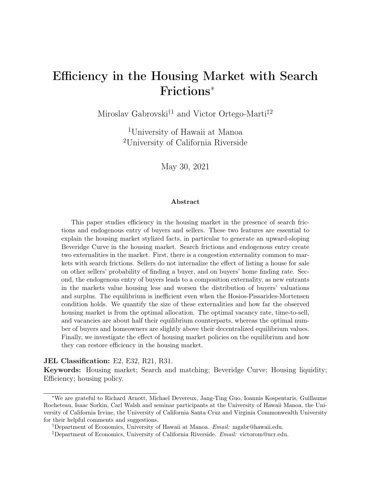# <span id="page-0-0"></span>Efficiency in the Housing Market with Search Frictions<sup>∗</sup>

Miroslav Gabrovski<sup>†1</sup> and Victor Ortego-Marti<sup>‡2</sup>

<sup>1</sup>University of Hawaii at Manoa <sup>2</sup>University of California Riverside

May 30, 2021

#### Abstract

This paper studies efficiency in the housing market in the presence of search frictions and endogenous entry of buyers and sellers. These two features are essential to explain the housing market stylized facts, in particular to generate an upward-sloping Beveridge Curve in the housing market. Search frictions and endogenous entry create two externalities in the market. First, there is a congestion externality common to markets with search frictions. Sellers do not internalize the effect of listing a house for sale on other sellers' probability of finding a buyer, and on buyers' home finding rate. Second, the endogenous entry of buyers leads to a composition externality, as new entrants in the markets value housing less and worsen the distribution of buyers' valuations and surplus. The equilibrium is inefficient even when the Hosios-Pissarides-Mortensen condition holds. We quantify the size of these externalities and how far the observed housing market is from the optimal allocation. The optimal vacancy rate, time-to-sell, and vacancies are about half their equilibrium counterparts, whereas the optimal number of buyers and homeowners are slightly above their decentralized equilibrium values. Finally, we investigate the effect of housing market policies on the equilibrium and how they can restore efficiency in the housing market.

#### JEL Classification: E2, E32, R21, R31.

Keywords: Housing market; Search and matching; Beveridge Curve; Housing liquidity; Efficiency; housing policy.

<sup>∗</sup>We are grateful to Richard Arnott, Michael Devereux, Jang-Ting Guo, Ioannis Kospentaris, Guillaume Rocheteau, Isaac Sorkin, Carl Walsh and seminar participants at the University of Hawaii Manoa, the University of California Irvine, the University of California Santa Cruz and Virginia Commonwealth University for their helpful comments and suggestions.

<sup>†</sup>Department of Economics, University of Hawaii at Manoa. Email: mgabr@hawaii.edu.

<sup>‡</sup>Department of Economics, University of California Riverside. Email: victorom@ucr.edu.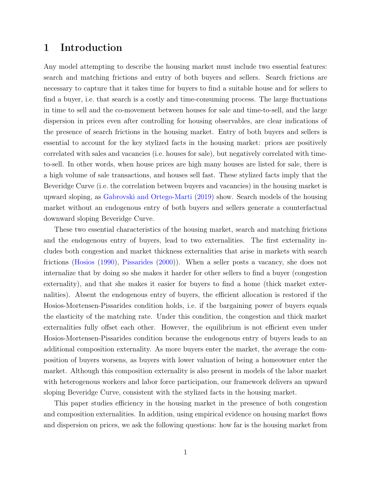### 1 Introduction

Any model attempting to describe the housing market must include two essential features: search and matching frictions and entry of both buyers and sellers. Search frictions are necessary to capture that it takes time for buyers to find a suitable house and for sellers to find a buyer, i.e. that search is a costly and time-consuming process. The large fluctuations in time to sell and the co-movement between houses for sale and time-to-sell, and the large dispersion in prices even after controlling for housing observables, are clear indications of the presence of search frictions in the housing market. Entry of both buyers and sellers is essential to account for the key stylized facts in the housing market: prices are positively correlated with sales and vacancies (i.e. houses for sale), but negatively correlated with timeto-sell. In other words, when house prices are high many houses are listed for sale, there is a high volume of sale transactions, and houses sell fast. These stylized facts imply that the Beveridge Curve (i.e. the correlation between buyers and vacancies) in the housing market is upward sloping, as [Gabrovski and Ortego-Marti](#page-20-0) [\(2019\)](#page-20-0) show. Search models of the housing market without an endogenous entry of both buyers and sellers generate a counterfactual downward sloping Beveridge Curve.

These two essential characteristics of the housing market, search and matching frictions and the endogenous entry of buyers, lead to two externalities. The first externality includes both congestion and market thickness externalities that arise in markets with search frictions [\(Hosios](#page-21-0) [\(1990\)](#page-21-0), [Pissarides](#page-22-0) [\(2000\)](#page-22-0)). When a seller posts a vacancy, she does not internalize that by doing so she makes it harder for other sellers to find a buyer (congestion externality), and that she makes it easier for buyers to find a home (thick market externalities). Absent the endogenous entry of buyers, the efficient allocation is restored if the Hosios-Mortensen-Pissarides condition holds, i.e. if the bargaining power of buyers equals the elasticity of the matching rate. Under this condition, the congestion and thick market externalities fully offset each other. However, the equilibrium is not efficient even under Hosios-Mortensen-Pissarides condition because the endogenous entry of buyers leads to an additional composition externality. As more buyers enter the market, the average the composition of buyers worsens, as buyers with lower valuation of being a homeowner enter the market. Although this composition externality is also present in models of the labor market with heterogenous workers and labor force participation, our framework delivers an upward sloping Beveridge Curve, consistent with the stylized facts in the housing market.

This paper studies efficiency in the housing market in the presence of both congestion and composition externalities. In addition, using empirical evidence on housing market flows and dispersion on prices, we ask the following questions: how far is the housing market from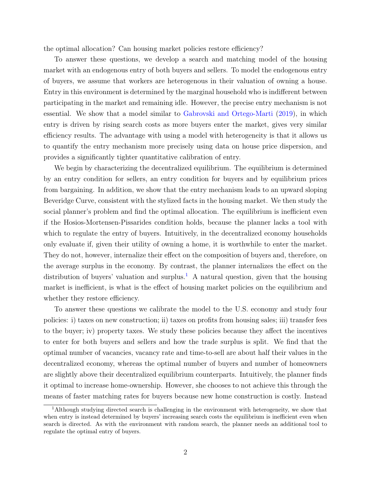the optimal allocation? Can housing market policies restore efficiency?

To answer these questions, we develop a search and matching model of the housing market with an endogenous entry of both buyers and sellers. To model the endogenous entry of buyers, we assume that workers are heterogenous in their valuation of owning a house. Entry in this environment is determined by the marginal household who is indifferent between participating in the market and remaining idle. However, the precise entry mechanism is not essential. We show that a model similar to [Gabrovski and Ortego-Marti](#page-20-0) [\(2019\)](#page-20-0), in which entry is driven by rising search costs as more buyers enter the market, gives very similar efficiency results. The advantage with using a model with heterogeneity is that it allows us to quantify the entry mechanism more precisely using data on house price dispersion, and provides a significantly tighter quantitative calibration of entry.

We begin by characterizing the decentralized equilibrium. The equilibrium is determined by an entry condition for sellers, an entry condition for buyers and by equilibrium prices from bargaining. In addition, we show that the entry mechanism leads to an upward sloping Beveridge Curve, consistent with the stylized facts in the housing market. We then study the social planner's problem and find the optimal allocation. The equilibrium is inefficient even if the Hosios-Mortensen-Pissarides condition holds, because the planner lacks a tool with which to regulate the entry of buyers. Intuitively, in the decentralized economy households only evaluate if, given their utility of owning a home, it is worthwhile to enter the market. They do not, however, internalize their effect on the composition of buyers and, therefore, on the average surplus in the economy. By contrast, the planner internalizes the effect on the distribution of buyers' valuation and surplus.<sup>[1](#page-0-0)</sup> A natural question, given that the housing market is inefficient, is what is the effect of housing market policies on the equilibrium and whether they restore efficiency.

To answer these questions we calibrate the model to the U.S. economy and study four policies: i) taxes on new construction; ii) taxes on profits from housing sales; iii) transfer fees to the buyer; iv) property taxes. We study these policies because they affect the incentives to enter for both buyers and sellers and how the trade surplus is split. We find that the optimal number of vacancies, vacancy rate and time-to-sell are about half their values in the decentralized economy, whereas the optimal number of buyers and number of homeowners are slightly above their decentralized equilibrium counterparts. Intuitively, the planner finds it optimal to increase home-ownership. However, she chooses to not achieve this through the means of faster matching rates for buyers because new home construction is costly. Instead

<sup>1</sup>Although studying directed search is challenging in the environment with heterogeneity, we show that when entry is instead determined by buyers' increasing search costs the equilibrium is inefficient even when search is directed. As with the environment with random search, the planner needs an additional tool to regulate the optimal entry of buyers.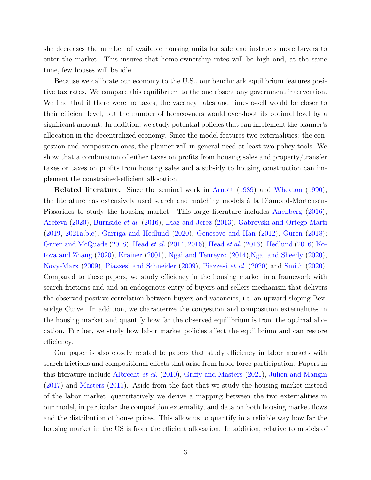she decreases the number of available housing units for sale and instructs more buyers to enter the market. This insures that home-ownership rates will be high and, at the same time, few houses will be idle.

Because we calibrate our economy to the U.S., our benchmark equilibrium features positive tax rates. We compare this equilibrium to the one absent any government intervention. We find that if there were no taxes, the vacancy rates and time-to-sell would be closer to their efficient level, but the number of homeowners would overshoot its optimal level by a significant amount. In addition, we study potential policies that can implement the planner's allocation in the decentralized economy. Since the model features two externalities: the congestion and composition ones, the planner will in general need at least two policy tools. We show that a combination of either taxes on profits from housing sales and property/transfer taxes or taxes on profits from housing sales and a subsidy to housing construction can implement the constrained-efficient allocation.

Related literature. Since the seminal work in [Arnott](#page-19-0) [\(1989\)](#page-19-0) and [Wheaton](#page-22-1) [\(1990\)](#page-22-1), the literature has extensively used search and matching models à la Diamond-Mortensen-Pissarides to study the housing market. This large literature includes [Anenberg](#page-19-1) [\(2016\)](#page-19-1), [Arefeva](#page-19-2) [\(2020\)](#page-19-2), [Burnside](#page-20-1) et al. [\(2016\)](#page-20-1), [Diaz and Jerez](#page-20-2) [\(2013\)](#page-20-2), [Gabrovski and Ortego-Marti](#page-20-0) [\(2019,](#page-20-0) [2021a,](#page-20-3)[b](#page-20-4)[,c\)](#page-20-5), [Garriga and Hedlund](#page-20-6) [\(2020\)](#page-20-6), [Genesove and Han](#page-20-7) [\(2012\)](#page-20-7), [Guren](#page-20-8) [\(2018\)](#page-20-8); [Guren and McQuade](#page-20-9) [\(2018\)](#page-20-9), [Head](#page-20-10) et al. [\(2014,](#page-20-10) [2016\)](#page-20-11), [Head](#page-21-1) et al. [\(2016\)](#page-21-1), [Hedlund](#page-21-2) [\(2016\)](#page-21-2) [Ko](#page-21-3)[tova and Zhang](#page-21-3) [\(2020\)](#page-21-3), [Krainer](#page-21-4) [\(2001\)](#page-21-4), [Ngai and Tenreyro](#page-21-5) [\(2014\)](#page-21-5)[,Ngai and Sheedy](#page-21-6) [\(2020\)](#page-21-6), [Novy-Marx](#page-21-7) [\(2009\)](#page-21-7), [Piazzesi and Schneider](#page-21-8) [\(2009\)](#page-21-8), [Piazzesi](#page-21-9) et al. [\(2020\)](#page-21-9) and [Smith](#page-22-2) [\(2020\)](#page-22-2). Compared to these papers, we study efficiency in the housing market in a framework with search frictions and and an endogenous entry of buyers and sellers mechanism that delivers the observed positive correlation between buyers and vacancies, i.e. an upward-sloping Beveridge Curve. In addition, we characterize the congestion and composition externalities in the housing market and quantify how far the observed equilibrium is from the optimal allocation. Further, we study how labor market policies affect the equilibrium and can restore efficiency.

Our paper is also closely related to papers that study efficiency in labor markets with search frictions and compositional effects that arise from labor force participation. Papers in this literature include [Albrecht](#page-19-3) et al. [\(2010\)](#page-19-3), [Griffy and Masters](#page-20-12) [\(2021\)](#page-20-12), [Julien and Mangin](#page-21-10) [\(2017\)](#page-21-10) and [Masters](#page-21-11) [\(2015\)](#page-21-11). Aside from the fact that we study the housing market instead of the labor market, quantitatively we derive a mapping between the two externalities in our model, in particular the composition externality, and data on both housing market flows and the distribution of house prices. This allow us to quantify in a reliable way how far the housing market in the US is from the efficient allocation. In addition, relative to models of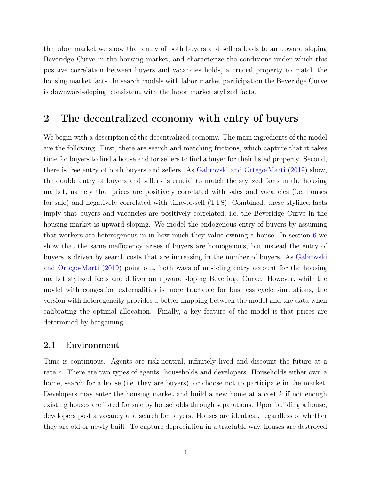the labor market we show that entry of both buyers and sellers leads to an upward sloping Beveridge Curve in the housing market, and characterize the conditions under which this positive correlation between buyers and vacancies holds, a crucial property to match the housing market facts. In search models with labor market participation the Beveridge Curve is downward-sloping, consistent with the labor market stylized facts.

### <span id="page-4-0"></span>2 The decentralized economy with entry of buyers

We begin with a description of the decentralized economy. The main ingredients of the model are the following. First, there are search and matching frictions, which capture that it takes time for buyers to find a house and for sellers to find a buyer for their listed property. Second, there is free entry of both buyers and sellers. As [Gabrovski and Ortego-Marti](#page-20-0) [\(2019\)](#page-20-0) show, the double entry of buyers and sellers is crucial to match the stylized facts in the housing market, namely that prices are positively correlated with sales and vacancies (i.e. houses for sale) and negatively correlated with time-to-sell (TTS). Combined, these stylized facts imply that buyers and vacancies are positively correlated, i.e. the Beveridge Curve in the housing market is upward sloping. We model the endogenous entry of buyers by assuming that workers are heterogenous in in how much they value owning a house. In section [6](#page-15-0) we show that the same inefficiency arises if buyers are homogenous, but instead the entry of buyers is driven by search costs that are increasing in the number of buyers. As [Gabrovski](#page-20-0) [and Ortego-Marti](#page-20-0) [\(2019\)](#page-20-0) point out, both ways of modeling entry account for the housing market stylized facts and deliver an upward sloping Beveridge Curve. However, while the model with congestion externalities is more tractable for business cycle simulations, the version with heterogeneity provides a better mapping between the model and the data when calibrating the optimal allocation. Finally, a key feature of the model is that prices are determined by bargaining.

#### 2.1 Environment

Time is continuous. Agents are risk-neutral, infinitely lived and discount the future at a rate r. There are two types of agents: households and developers. Households either own a home, search for a house (i.e. they are buyers), or choose not to participate in the market. Developers may enter the housing market and build a new home at a cost  $k$  if not enough existing houses are listed for sale by households through separations. Upon building a house, developers post a vacancy and search for buyers. Houses are identical, regardless of whether they are old or newly built. To capture depreciation in a tractable way, houses are destroyed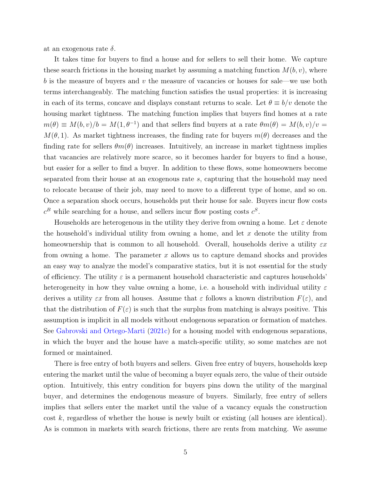at an exogenous rate  $\delta$ .

It takes time for buyers to find a house and for sellers to sell their home. We capture these search frictions in the housing market by assuming a matching function  $M(b, v)$ , where b is the measure of buyers and  $v$  the measure of vacancies or houses for sale—we use both terms interchangeably. The matching function satisfies the usual properties: it is increasing in each of its terms, concave and displays constant returns to scale. Let  $\theta \equiv b/v$  denote the housing market tightness. The matching function implies that buyers find homes at a rate  $m(\theta) \equiv M(b, v)/b = M(1, \theta^{-1})$  and that sellers find buyers at a rate  $\theta m(\theta) = M(b, v)/v =$  $M(\theta, 1)$ . As market tightness increases, the finding rate for buyers  $m(\theta)$  decreases and the finding rate for sellers  $\theta m(\theta)$  increases. Intuitively, an increase in market tightness implies that vacancies are relatively more scarce, so it becomes harder for buyers to find a house, but easier for a seller to find a buyer. In addition to these flows, some homeowners become separated from their house at an exogenous rate s, capturing that the household may need to relocate because of their job, may need to move to a different type of home, and so on. Once a separation shock occurs, households put their house for sale. Buyers incur flow costs  $c^B$  while searching for a house, and sellers incur flow posting costs  $c^S$ .

Households are heterogenous in the utility they derive from owning a home. Let  $\varepsilon$  denote the household's individual utility from owning a home, and let  $x$  denote the utility from homeownership that is common to all household. Overall, households derive a utility  $\varepsilon x$ from owning a home. The parameter  $x$  allows us to capture demand shocks and provides an easy way to analyze the model's comparative statics, but it is not essential for the study of efficiency. The utility  $\varepsilon$  is a permanent household characteristic and captures households' heterogeneity in how they value owning a home, i.e. a household with individual utility  $\varepsilon$ derives a utility  $\varepsilon x$  from all houses. Assume that  $\varepsilon$  follows a known distribution  $F(\varepsilon)$ , and that the distribution of  $F(\varepsilon)$  is such that the surplus from matching is always positive. This assumption is implicit in all models without endogenous separation or formation of matches. See [Gabrovski and Ortego-Marti](#page-20-5) [\(2021c\)](#page-20-5) for a housing model with endogenous separations, in which the buyer and the house have a match-specific utility, so some matches are not formed or maintained.

There is free entry of both buyers and sellers. Given free entry of buyers, households keep entering the market until the value of becoming a buyer equals zero, the value of their outside option. Intuitively, this entry condition for buyers pins down the utility of the marginal buyer, and determines the endogenous measure of buyers. Similarly, free entry of sellers implies that sellers enter the market until the value of a vacancy equals the construction cost  $k$ , regardless of whether the house is newly built or existing (all houses are identical). As is common in markets with search frictions, there are rents from matching. We assume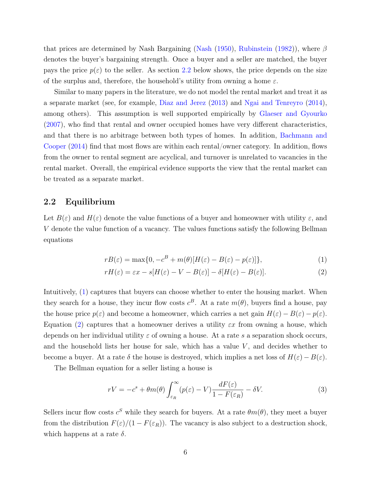that prices are determined by Nash Bargaining [\(Nash](#page-21-12) [\(1950\)](#page-21-12), [Rubinstein](#page-22-3) [\(1982\)](#page-22-3)), where  $\beta$ denotes the buyer's bargaining strength. Once a buyer and a seller are matched, the buyer pays the price  $p(\varepsilon)$  to the seller. As section [2.2](#page-6-0) below shows, the price depends on the size of the surplus and, therefore, the household's utility from owning a home  $\varepsilon$ .

Similar to many papers in the literature, we do not model the rental market and treat it as a separate market (see, for example, [Diaz and Jerez](#page-20-2) [\(2013\)](#page-20-2) and [Ngai and Tenreyro](#page-21-5) [\(2014\)](#page-21-5), among others). This assumption is well supported empirically by [Glaeser and Gyourko](#page-20-13) [\(2007\)](#page-20-13), who find that rental and owner occupied homes have very different characteristics, and that there is no arbitrage between both types of homes. In addition, [Bachmann and](#page-19-4) [Cooper](#page-19-4) [\(2014\)](#page-19-4) find that most flows are within each rental/owner category. In addition, flows from the owner to rental segment are acyclical, and turnover is unrelated to vacancies in the rental market. Overall, the empirical evidence supports the view that the rental market can be treated as a separate market.

#### <span id="page-6-0"></span>2.2 Equilibrium

Let  $B(\varepsilon)$  and  $H(\varepsilon)$  denote the value functions of a buyer and homeowner with utility  $\varepsilon$ , and V denote the value function of a vacancy. The values functions satisfy the following Bellman equations

<span id="page-6-2"></span><span id="page-6-1"></span>
$$
rB(\varepsilon) = \max\{0, -c^B + m(\theta)[H(\varepsilon) - B(\varepsilon) - p(\varepsilon)]\},\tag{1}
$$

$$
rH(\varepsilon) = \varepsilon x - s[H(\varepsilon) - V - B(\varepsilon)] - \delta[H(\varepsilon) - B(\varepsilon)].
$$
\n(2)

Intuitively, [\(1\)](#page-6-1) captures that buyers can choose whether to enter the housing market. When they search for a house, they incur flow costs  $c^B$ . At a rate  $m(\theta)$ , buyers find a house, pay the house price  $p(\varepsilon)$  and become a homeowner, which carries a net gain  $H(\varepsilon) - B(\varepsilon) - p(\varepsilon)$ . Equation [\(2\)](#page-6-2) captures that a homeowner derives a utility  $\varepsilon x$  from owning a house, which depends on her individual utility  $\varepsilon$  of owning a house. At a rate s a separation shock occurs, and the household lists her house for sale, which has a value  $V$ , and decides whether to become a buyer. At a rate  $\delta$  the house is destroyed, which implies a net loss of  $H(\varepsilon) - B(\varepsilon)$ .

The Bellman equation for a seller listing a house is

<span id="page-6-3"></span>
$$
rV = -c^s + \theta m(\theta) \int_{\varepsilon_R}^{\infty} (p(\varepsilon) - V) \frac{dF(\varepsilon)}{1 - F(\varepsilon_R)} - \delta V. \tag{3}
$$

Sellers incur flow costs  $c^S$  while they search for buyers. At a rate  $\theta m(\theta)$ , they meet a buyer from the distribution  $F(\varepsilon)/(1 - F(\varepsilon_R))$ . The vacancy is also subject to a destruction shock, which happens at a rate  $\delta$ .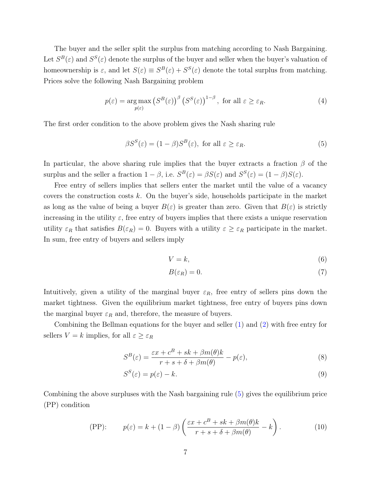The buyer and the seller split the surplus from matching according to Nash Bargaining. Let  $S^B(\varepsilon)$  and  $S^S(\varepsilon)$  denote the surplus of the buyer and seller when the buyer's valuation of homeownership is  $\varepsilon$ , and let  $S(\varepsilon) \equiv S^B(\varepsilon) + S^S(\varepsilon)$  denote the total surplus from matching. Prices solve the following Nash Bargaining problem

$$
p(\varepsilon) = \underset{p(\varepsilon)}{\arg \max} \left( S^B(\varepsilon) \right)^{\beta} \left( S^S(\varepsilon) \right)^{1-\beta}, \text{ for all } \varepsilon \ge \varepsilon_R. \tag{4}
$$

The first order condition to the above problem gives the Nash sharing rule

$$
\beta S^{S}(\varepsilon) = (1 - \beta)S^{B}(\varepsilon), \text{ for all } \varepsilon \ge \varepsilon_{R}.
$$
 (5)

In particular, the above sharing rule implies that the buyer extracts a fraction  $\beta$  of the surplus and the seller a fraction  $1 - \beta$ , i.e.  $S^B(\varepsilon) = \beta S(\varepsilon)$  and  $S^S(\varepsilon) = (1 - \beta)S(\varepsilon)$ .

Free entry of sellers implies that sellers enter the market until the value of a vacancy covers the construction costs  $k$ . On the buyer's side, households participate in the market as long as the value of being a buyer  $B(\varepsilon)$  is greater than zero. Given that  $B(\varepsilon)$  is strictly increasing in the utility  $\varepsilon$ , free entry of buyers implies that there exists a unique reservation utility  $\varepsilon_R$  that satisfies  $B(\varepsilon_R) = 0$ . Buyers with a utility  $\varepsilon \geq \varepsilon_R$  participate in the market. In sum, free entry of buyers and sellers imply

<span id="page-7-0"></span>
$$
V = k,\tag{6}
$$

$$
B(\varepsilon_R) = 0.\t\t(7)
$$

Intuitively, given a utility of the marginal buyer  $\varepsilon_R$ , free entry of sellers pins down the market tightness. Given the equilibrium market tightness, free entry of buyers pins down the marginal buyer  $\varepsilon_R$  and, therefore, the measure of buyers.

Combining the Bellman equations for the buyer and seller [\(1\)](#page-6-1) and [\(2\)](#page-6-2) with free entry for sellers  $V = k$  implies, for all  $\varepsilon \geq \varepsilon_R$ 

$$
S^{B}(\varepsilon) = \frac{\varepsilon x + c^{B} + sk + \beta m(\theta)k}{r + s + \delta + \beta m(\theta)} - p(\varepsilon),
$$
\n(8)

<span id="page-7-1"></span>
$$
S^S(\varepsilon) = p(\varepsilon) - k.\tag{9}
$$

Combining the above surpluses with the Nash bargaining rule [\(5\)](#page-7-0) gives the equilibrium price (PP) condition

(PP): 
$$
p(\varepsilon) = k + (1 - \beta) \left( \frac{\varepsilon x + c^B + sk + \beta m(\theta)k}{r + s + \delta + \beta m(\theta)} - k \right).
$$
 (10)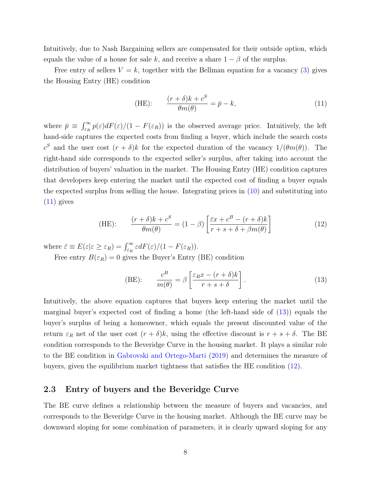Intuitively, due to Nash Bargaining sellers are compensated for their outside option, which equals the value of a house for sale k, and receive a share  $1 - \beta$  of the surplus.

Free entry of sellers  $V = k$ , together with the Bellman equation for a vacancy [\(3\)](#page-6-3) gives the Housing Entry (HE) condition

<span id="page-8-0"></span>(HE): 
$$
\frac{(r+\delta)k + c^S}{\theta m(\theta)} = \bar{p} - k,
$$
 (11)

where  $\bar{p} \equiv \int_{\varepsilon_R}^{\infty} p(\varepsilon) dF(\varepsilon) / (1 - F(\varepsilon_R))$  is the observed average price. Intuitively, the left hand-side captures the expected costs from finding a buyer, which include the search costs c<sup>S</sup> and the user cost  $(r + \delta)k$  for the expected duration of the vacancy  $1/(\theta m(\theta))$ . The right-hand side corresponds to the expected seller's surplus, after taking into account the distribution of buyers' valuation in the market. The Housing Entry (HE) condition captures that developers keep entering the market until the expected cost of finding a buyer equals the expected surplus from selling the house. Integrating prices in [\(10\)](#page-7-1) and substituting into  $(11)$  gives

(12) 
$$
\frac{(r+\delta)k + c^S}{\theta m(\theta)} = (1-\beta) \left[ \frac{\bar{\varepsilon}x + c^B - (r+\delta)k}{r+s+\delta+\beta m(\theta)} \right]
$$

where  $\bar{\varepsilon} \equiv E(\varepsilon | \varepsilon \geq \varepsilon_R) = \int_{\varepsilon_R}^{\infty} \varepsilon dF(\varepsilon)/(1 - F(\varepsilon_R)).$ 

Free entry  $B(\varepsilon_R) = 0$  gives the Buyer's Entry (BE) condition

<span id="page-8-2"></span><span id="page-8-1"></span>
$$
\text{(BE):} \qquad \frac{c^B}{m(\theta)} = \beta \left[ \frac{\varepsilon_R x - (r + \delta)k}{r + s + \delta} \right]. \tag{13}
$$

Intuitively, the above equation captures that buyers keep entering the market until the marginal buyer's expected cost of finding a home (the left-hand side of [\(13\)](#page-8-1)) equals the buyer's surplus of being a homeowner, which equals the present discounted value of the return  $\varepsilon_R$  net of the user cost  $(r + \delta)k$ , using the effective discount is  $r + s + \delta$ . The BE condition corresponds to the Beveridge Curve in the housing market. It plays a similar role to the BE condition in [Gabrovski and Ortego-Marti](#page-20-0) [\(2019\)](#page-20-0) and determines the measure of buyers, given the equilibrium market tightness that satisfies the HE condition [\(12\)](#page-8-2).

### 2.3 Entry of buyers and the Beveridge Curve

The BE curve defines a relationship between the measure of buyers and vacancies, and corresponds to the Beveridge Curve in the housing market. Although the BE curve may be downward sloping for some combination of parameters, it is clearly upward sloping for any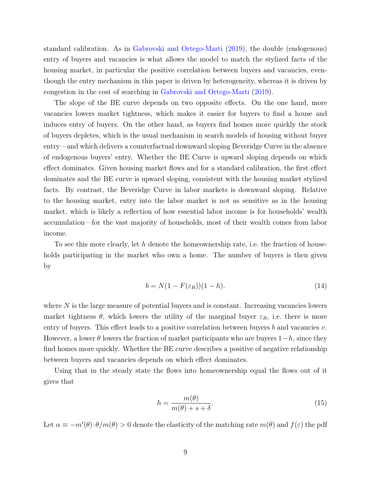standard calibration. As in [Gabrovski and Ortego-Marti](#page-20-0) [\(2019\)](#page-20-0), the double (endogenous) entry of buyers and vacancies is what allows the model to match the stylized facts of the housing market, in particular the positive correlation between buyers and vacancies, eventhough the entry mechanism in this paper is driven by heterogeneity, whereas it is driven by congestion in the cost of searching in [Gabrovski and Ortego-Marti](#page-20-0) [\(2019\)](#page-20-0).

The slope of the BE curve depends on two opposite effects. On the one hand, more vacancies lowers market tightness, which makes it easier for buyers to find a house and induces entry of buyers. On the other hand, as buyers find homes more quickly the stock of buyers depletes, which is the usual mechanism in search models of housing without buyer entry—and which delivers a counterfactual downward sloping Beveridge Curve in the absence of endogenous buyers' entry. Whether the BE Curve is upward sloping depends on which effect dominates. Given housing market flows and for a standard calibration, the first effect dominates and the BE curve is upward sloping, consistent with the housing market stylized facts. By contrast, the Beveridge Curve in labor markets is downward sloping. Relative to the housing market, entry into the labor market is not as sensitive as in the housing market, which is likely a reflection of how essential labor income is for households' wealth accumulation—for the vast majority of households, most of their wealth comes from labor income.

To see this more clearly, let h denote the homeownership rate, i.e. the fraction of households participating in the market who own a home. The number of buyers is then given by

$$
b = N(1 - F(\varepsilon_R))(1 - h). \tag{14}
$$

where  $N$  is the large measure of potential buyers and is constant. Increasing vacancies lowers market tightness  $\theta$ , which lowers the utility of the marginal buyer  $\varepsilon_R$ , i.e. there is more entry of buyers. This effect leads to a positive correlation between buyers b and vacancies v. However, a lower  $\theta$  lowers the fraction of market participants who are buyers  $1-h$ , since they find homes more quickly. Whether the BE curve describes a positive of negative relationship between buyers and vacancies depends on which effect dominates.

Using that in the steady state the flows into homeownership equal the flows out of it gives that

$$
h = \frac{m(\theta)}{m(\theta) + s + \delta}.\tag{15}
$$

Let  $\alpha \equiv -m'(\theta) \cdot \theta/m(\theta) > 0$  denote the elasticity of the matching rate  $m(\theta)$  and  $f(\varepsilon)$  the pdf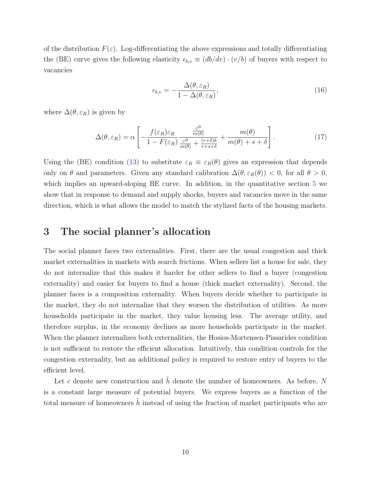of the distribution  $F(\varepsilon)$ . Log-differentiating the above expressions and totally differentiating the (BE) curve gives the following elasticity  $\epsilon_{b,v} \equiv (db/dv) \cdot (v/b)$  of buyers with respect to vacancies

$$
\epsilon_{b,v} = -\frac{\Delta(\theta, \varepsilon_R)}{1 - \Delta(\theta, \varepsilon_R)},\tag{16}
$$

where  $\Delta(\theta, \varepsilon_R)$  is given by

$$
\Delta(\theta, \varepsilon_R) = \alpha \left[ -\frac{f(\varepsilon_R)\varepsilon_R}{1 - F(\varepsilon_R)} \frac{\frac{c^B}{m(\theta)}}{\frac{c^B}{m(\theta)} + \frac{(r+\delta)k}{r+s+\delta}} + \frac{m(\theta)}{m(\theta) + s + \delta} \right].
$$
\n(17)

Using the (BE) condition [\(13\)](#page-8-1) to substitute  $\varepsilon_R \equiv \varepsilon_R(\theta)$  gives an expression that depends only on  $\theta$  and parameters. Given any standard calibration  $\Delta(\theta, \varepsilon_R(\theta)) < 0$ , for all  $\theta > 0$ , which implies an upward-sloping BE curve. In addition, in the quantitative section [5](#page-13-0) we show that in response to demand and supply shocks, buyers and vacancies move in the same direction, which is what allows the model to match the stylized facts of the housing markets.

### 3 The social planner's allocation

The social planner faces two externalities. First, there are the usual congestion and thick market externalities in markets with search frictions. When sellers list a house for sale, they do not internalize that this makes it harder for other sellers to find a buyer (congestion externality) and easier for buyers to find a house (thick market externality). Second, the planner faces is a composition externality. When buyers decide whether to participate in the market, they do not internalize that they worsen the distribution of utilities. As more households participate in the market, they value housing less. The average utility, and therefore surplus, in the economy declines as more households participate in the market. When the planner internalizes both externalities, the Hosios-Mortensen-Pissarides condition is not sufficient to restore the efficient allocation. Intuitively, this condition controls for the congestion externality, but an additional policy is required to restore entry of buyers to the efficient level.

Let c denote new construction and  $\hat{h}$  denote the number of homeowners. As before, N is a constant large measure of potential buyers. We express buyers as a function of the total measure of homeowners  $\hat{h}$  instead of using the fraction of market participants who are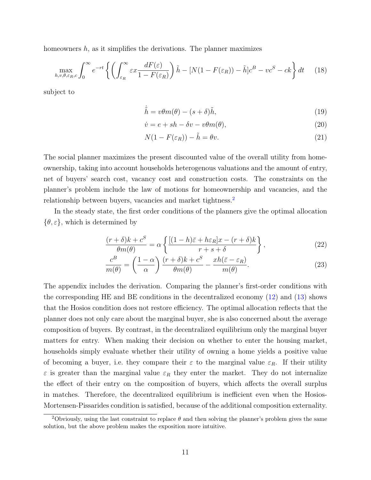homeowners  $h$ , as it simplifies the derivations. The planner maximizes

$$
\max_{h,v,\theta,\varepsilon_R,c} \int_0^\infty e^{-rt} \left\{ \left( \int_{\varepsilon_R}^\infty \varepsilon x \frac{dF(\varepsilon)}{1 - F(\varepsilon_R)} \right) \tilde{h} - [N(1 - F(\varepsilon_R)) - \tilde{h}] c^B - v c^S - c k \right\} dt \tag{18}
$$

subject to

$$
\dot{\tilde{h}} = v\theta m(\theta) - (s+\delta)\tilde{h},\tag{19}
$$

$$
\dot{v} = e + sh - \delta v - v\theta m(\theta),\tag{20}
$$

<span id="page-11-0"></span>
$$
N(1 - F(\varepsilon_R)) - \tilde{h} = \theta v.
$$
\n<sup>(21)</sup>

The social planner maximizes the present discounted value of the overall utility from homeownership, taking into account households heterogenous valuations and the amount of entry, net of buyers' search cost, vacancy cost and construction costs. The constraints on the planner's problem include the law of motions for homeownership and vacancies, and the relationship between buyers, vacancies and market tightness.<sup>[2](#page-0-0)</sup>

In the steady state, the first order conditions of the planners give the optimal allocation  $\{\theta, \varepsilon\}$ , which is determined by

$$
\frac{(r+\delta)k + c^S}{\theta m(\theta)} = \alpha \left\{ \frac{[(1-h)\bar{\varepsilon} + h\varepsilon_R]x - (r+\delta)k}{r+s+\delta} \right\},\tag{22}
$$

<span id="page-11-1"></span>
$$
\frac{c^B}{m(\theta)} = \left(\frac{1-\alpha}{\alpha}\right) \frac{(r+\delta)k + c^S}{\theta m(\theta)} - \frac{xh(\bar{\varepsilon} - \varepsilon_R)}{m(\theta)}.
$$
\n(23)

The appendix includes the derivation. Comparing the planner's first-order conditions with the corresponding HE and BE conditions in the decentralized economy [\(12\)](#page-8-2) and [\(13\)](#page-8-1) shows that the Hosios condition does not restore efficiency. The optimal allocation reflects that the planner does not only care about the marginal buyer, she is also concerned about the average composition of buyers. By contrast, in the decentralized equilibrium only the marginal buyer matters for entry. When making their decision on whether to enter the housing market, households simply evaluate whether their utility of owning a home yields a positive value of becoming a buyer, i.e. they compare their  $\varepsilon$  to the marginal value  $\varepsilon_R$ . If their utility  $\varepsilon$  is greater than the marginal value  $\varepsilon_R$  they enter the market. They do not internalize the effect of their entry on the composition of buyers, which affects the overall surplus in matches. Therefore, the decentralized equilibrium is inefficient even when the Hosios-Mortensen-Pissarides condition is satisfied, because of the additional composition externality.

<sup>&</sup>lt;sup>2</sup>Obviously, using the last constraint to replace  $\theta$  and then solving the planner's problem gives the same solution, but the above problem makes the exposition more intuitive.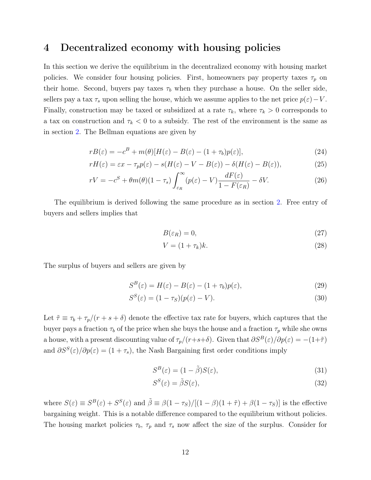### 4 Decentralized economy with housing policies

In this section we derive the equilibrium in the decentralized economy with housing market policies. We consider four housing policies. First, homeowners pay property taxes  $\tau_p$  on their home. Second, buyers pay taxes  $\tau_b$  when they purchase a house. On the seller side, sellers pay a tax  $\tau_s$  upon selling the house, which we assume applies to the net price  $p(\varepsilon) - V$ . Finally, construction may be taxed or subsidized at a rate  $\tau_k$ , where  $\tau_k > 0$  corresponds to a tax on construction and  $\tau_k < 0$  to a subsidy. The rest of the environment is the same as in section [2.](#page-4-0) The Bellman equations are given by

$$
rB(\varepsilon) = -c^B + m(\theta)[H(\varepsilon) - B(\varepsilon) - (1 + \tau_b)p(\varepsilon)],\tag{24}
$$

$$
rH(\varepsilon) = \varepsilon x - \tau_p p(\varepsilon) - s(H(\varepsilon) - V - B(\varepsilon)) - \delta(H(\varepsilon) - B(\varepsilon)),\tag{25}
$$

$$
rV = -c^{S} + \theta m(\theta)(1 - \tau_{s}) \int_{\varepsilon_{R}}^{\infty} (p(\varepsilon) - V) \frac{dF(\varepsilon)}{1 - F(\varepsilon_{R})} - \delta V.
$$
 (26)

The equilibrium is derived following the same procedure as in section [2.](#page-4-0) Free entry of buyers and sellers implies that

$$
B(\varepsilon_R) = 0,\t\t(27)
$$

$$
V = (1 + \tau_k)k.\tag{28}
$$

The surplus of buyers and sellers are given by

$$
S^{B}(\varepsilon) = H(\varepsilon) - B(\varepsilon) - (1 + \tau_b)p(\varepsilon), \qquad (29)
$$

$$
S^{S}(\varepsilon) = (1 - \tau_{S})(p(\varepsilon) - V). \tag{30}
$$

Let  $\tilde{\tau} \equiv \tau_b + \tau_p/(r + s + \delta)$  denote the effective tax rate for buyers, which captures that the buyer pays a fraction  $\tau_b$  of the price when she buys the house and a fraction  $\tau_p$  while she owns a house, with a present discounting value of  $\tau_p/(r+s+\delta)$ . Given that  $\partial S^B(\varepsilon)/\partial p(\varepsilon) = -(1+\tilde{\tau})$ and  $\partial S^{S}(\varepsilon)/\partial p(\varepsilon) = (1 + \tau_s)$ , the Nash Bargaining first order conditions imply

$$
S^{B}(\varepsilon) = (1 - \tilde{\beta})S(\varepsilon),\tag{31}
$$

$$
S^S(\varepsilon) = \tilde{\beta} S(\varepsilon),\tag{32}
$$

where  $S(\varepsilon) \equiv S^B(\varepsilon) + S^S(\varepsilon)$  and  $\tilde{\beta} \equiv \beta(1 - \tau_S)/[(1 - \beta)(1 + \tilde{\tau}) + \beta(1 - \tau_S)]$  is the effective bargaining weight. This is a notable difference compared to the equilibrium without policies. The housing market policies  $\tau_b$ ,  $\tau_p$  and  $\tau_s$  now affect the size of the surplus. Consider for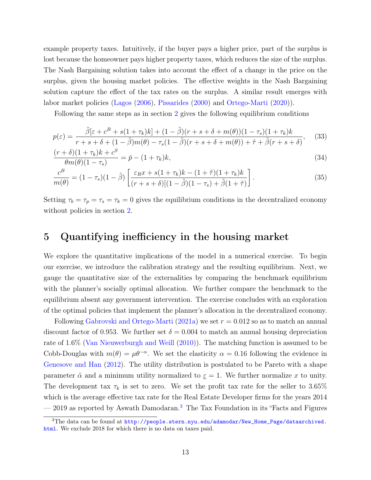example property taxes. Intuitively, if the buyer pays a higher price, part of the surplus is lost because the homeowner pays higher property taxes, which reduces the size of the surplus. The Nash Bargaining solution takes into account the effect of a change in the price on the surplus, given the housing market policies. The effective weights in the Nash Bargaining solution capture the effect of the tax rates on the surplus. A similar result emerges with labor market policies [\(Lagos](#page-21-13) [\(2006\)](#page-21-13), [Pissarides](#page-22-0) [\(2000\)](#page-22-0) and [Ortego-Marti](#page-21-14) [\(2020\)](#page-21-14)).

Following the same steps as in section [2](#page-4-0) gives the following equilibrium conditions

$$
p(\varepsilon) = \frac{\tilde{\beta}[\varepsilon + c^B + s(1 + \tau_k)k] + (1 - \tilde{\beta})(r + s + \delta + m(\theta))(1 - \tau_s)(1 + \tau_k)k}{r + s + \delta + (1 - \tilde{\beta})m(\theta) - \tau_s(1 - \tilde{\beta})(r + s + \delta + m(\theta)) + \tilde{\tau} + \tilde{\beta}(r + s + \delta)},
$$
(33)

$$
\frac{(r+\delta)(1+\tau_k)k+c^S}{\theta m(\theta)(1-\tau_s)} = \bar{p} - (1+\tau_k)k,\tag{34}
$$

$$
\frac{c^B}{m(\theta)} = (1 - \tau_s)(1 - \tilde{\beta}) \left[ \frac{\varepsilon_R x + s(1 + \tau_k)k - (1 + \tilde{\tau})(1 + \tau_k)k}{(r + s + \delta)[(1 - \tilde{\beta})(1 - \tau_s) + \tilde{\beta}(1 + \tilde{\tau})]} \right].
$$
\n(35)

Setting  $\tau_b = \tau_p = \tau_s = \tau_k = 0$  gives the equilibrium conditions in the decentralized economy without policies in section [2.](#page-4-0)

## <span id="page-13-0"></span>5 Quantifying inefficiency in the housing market

We explore the quantitative implications of the model in a numerical exercise. To begin our exercise, we introduce the calibration strategy and the resulting equilibrium. Next, we gauge the quantitative size of the externalities by comparing the benchmark equilibrium with the planner's socially optimal allocation. We further compare the benchmark to the equilibrium absent any government intervention. The exercise concludes with an exploration of the optimal policies that implement the planner's allocation in the decentralized economy.

Following [Gabrovski and Ortego-Marti](#page-20-3) [\(2021a\)](#page-20-3) we set  $r = 0.012$  so as to match an annual discount factor of 0.953. We further set  $\delta = 0.004$  to match an annual housing depreciation rate of 1.6% [\(Van Nieuwerburgh and Weill](#page-22-4) [\(2010\)](#page-22-4)). The matching function is assumed to be Cobb-Douglas with  $m(\theta) = \mu \theta^{-\alpha}$ . We set the elasticity  $\alpha = 0.16$  following the evidence in [Genesove and Han](#page-20-7) [\(2012\)](#page-20-7). The utility distribution is postulated to be Pareto with a shape parameter  $\tilde{\alpha}$  and a minimum utility normalized to  $\underline{\varepsilon} = 1$ . We further normalize x to unity. The development tax  $\tau_k$  is set to zero. We set the profit tax rate for the seller to 3.65% which is the average effective tax rate for the Real Estate Developer firms for the years 2014 — 2019 as reported by Aswath Damodaran.[3](#page-0-0) The Tax Foundation in its "Facts and Figures

<sup>3</sup>The data can be found at [http://people.stern.nyu.edu/adamodar/New\\_Home\\_Page/dataarchived.](http://people.stern.nyu.edu/adamodar/New_Home_Page/dataarchived.html) [html](http://people.stern.nyu.edu/adamodar/New_Home_Page/dataarchived.html). We exclude 2018 for which there is no data on taxes paid.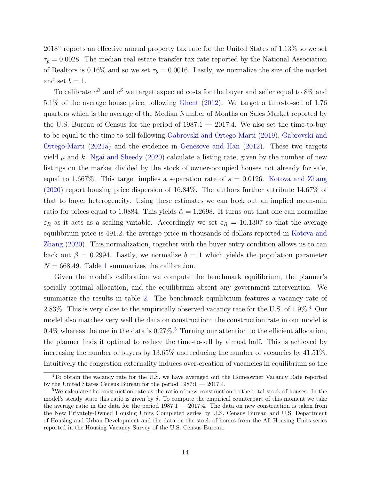2018" reports an effective annual property tax rate for the United States of 1.13% so we set  $\tau_p = 0.0028$ . The median real estate transfer tax rate reported by the National Association of Realtors is 0.16% and so we set  $\tau_b = 0.0016$ . Lastly, we normalize the size of the market and set  $b = 1$ .

To calibrate  $c^B$  and  $c^S$  we target expected costs for the buyer and seller equal to 8% and 5.1% of the average house price, following [Ghent](#page-20-14) [\(2012\)](#page-20-14). We target a time-to-sell of 1.76 quarters which is the average of the Median Number of Months on Sales Market reported by the U.S. Bureau of Census for the period of 1987:1 — 2017:4. We also set the time-to-buy to be equal to the time to sell following [Gabrovski and Ortego-Marti](#page-20-0) [\(2019\)](#page-20-0), [Gabrovski and](#page-20-3) [Ortego-Marti](#page-20-3) [\(2021a\)](#page-20-3) and the evidence in [Genesove and Han](#page-20-7) [\(2012\)](#page-20-7). These two targets yield  $\mu$  and k. [Ngai and Sheedy](#page-21-6) [\(2020\)](#page-21-6) calculate a listing rate, given by the number of new listings on the market divided by the stock of owner-occupied houses not already for sale, equal to 1.667%. This target implies a separation rate of  $s = 0.0126$ . [Kotova and Zhang](#page-21-3) [\(2020\)](#page-21-3) report housing price dispersion of 16.84%. The authors further attribute 14.67% of that to buyer heterogeneity. Using these estimates we can back out an implied mean-min ratio for prices equal to 1.0884. This yields  $\tilde{\alpha} = 1.2698$ . It turns out that one can normalize  $\varepsilon_R$  as it acts as a scaling variable. Accordingly we set  $\varepsilon_R = 10.1307$  so that the average equilibrium price is 491.2, the average price in thousands of dollars reported in [Kotova and](#page-21-3) [Zhang](#page-21-3) [\(2020\)](#page-21-3). This normalization, together with the buyer entry condition allows us to can back out  $\beta = 0.2994$ . Lastly, we normalize  $b = 1$  which yields the population parameter  $N = 668.49$ . Table [1](#page-23-0) summarizes the calibration.

Given the model's calibration we compute the benchmark equilibrium, the planner's socially optimal allocation, and the equilibrium absent any government intervention. We summarize the results in table [2.](#page-24-0) The benchmark equilibrium features a vacancy rate of 2.83%. This is very close to the empirically observed vacancy rate for the U.S. of  $1.9\%$ .<sup>[4](#page-0-0)</sup> Our model also matches very well the data on construction: the construction rate in our model is 0.4% whereas the one in the data is 0.27%.<sup>[5](#page-0-0)</sup> Turning our attention to the efficient allocation, the planner finds it optimal to reduce the time-to-sell by almost half. This is achieved by increasing the number of buyers by 13.65% and reducing the number of vacancies by 41.51%. Intuitively the congestion externality induces over-creation of vacancies in equilibrium so the

<sup>4</sup>To obtain the vacancy rate for the U.S. we have averaged out the Homeowner Vacancy Rate reported by the United States Census Bureau for the period 1987:1 — 2017:4.

<sup>5</sup>We calculate the construction rate as the ratio of new construction to the total stock of houses. In the model's steady state this ratio is given by  $\delta$ . To compute the empirical counterpart of this moment we take the average ratio in the data for the period 1987:1 — 2017:4. The data on new construction is taken from the New Privately-Owned Housing Units Completed series by U.S. Census Bureau and U.S. Department of Housing and Urban Development and the data on the stock of homes from the All Housing Units series reported in the Housing Vacancy Survey of the U.S. Census Bureau.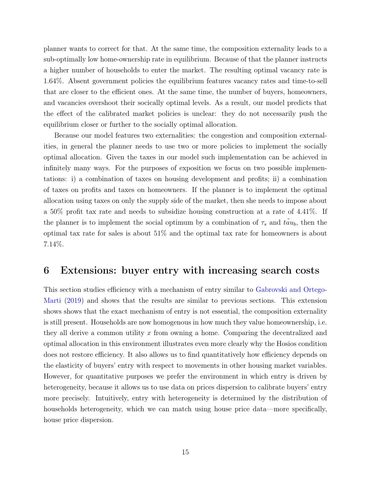planner wants to correct for that. At the same time, the composition externality leads to a sub-optimally low home-ownership rate in equilibrium. Because of that the planner instructs a higher number of households to enter the market. The resulting optimal vacancy rate is 1.64%. Absent government policies the equilibrium features vacancy rates and time-to-sell that are closer to the efficient ones. At the same time, the number of buyers, homeowners, and vacancies overshoot their socically optimal levels. As a result, our model predicts that the effect of the calibrated market policies is unclear: they do not necessarily push the equilibrium closer or further to the socially optimal allocation.

Because our model features two externalities: the congestion and composition externalities, in general the planner needs to use two or more policies to implement the socially optimal allocation. Given the taxes in our model such implementation can be achieved in infinitely many ways. For the purposes of exposition we focus on two possible implementations: i) a combination of taxes on housing development and profits; ii) a combination of taxes on profits and taxes on homeowners. If the planner is to implement the optimal allocation using taxes on only the supply side of the market, then she needs to impose about a 50% profit tax rate and needs to subsidize housing construction at a rate of 4.41%. If the planner is to implement the social optimum by a combination of  $\tau_s$  and  $\tilde{tau}_{\mu_b}$ , then the optimal tax rate for sales is about 51% and the optimal tax rate for homeowners is about 7.14%.

### <span id="page-15-0"></span>6 Extensions: buyer entry with increasing search costs

This section studies efficiency with a mechanism of entry similar to [Gabrovski and Ortego-](#page-20-0)[Marti](#page-20-0) [\(2019\)](#page-20-0) and shows that the results are similar to previous sections. This extension shows shows that the exact mechanism of entry is not essential, the composition externality is still present. Households are now homogenous in how much they value homeownership, i.e. they all derive a common utility x from owning a home. Comparing the decentralized and optimal allocation in this environment illustrates even more clearly why the Hosios condition does not restore efficiency. It also allows us to find quantitatively how efficiency depends on the elasticity of buyers' entry with respect to movements in other housing market variables. However, for quantitative purposes we prefer the environment in which entry is driven by heterogeneity, because it allows us to use data on prices dispersion to calibrate buyers' entry more precisely. Intuitively, entry with heterogeneity is determined by the distribution of households heterogeneity, which we can match using house price data—more specifically, house price dispersion.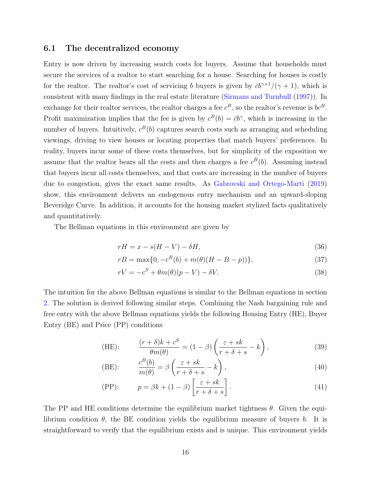### 6.1 The decentralized economy

Entry is now driven by increasing search costs for buyers. Assume that households must secure the services of a realtor to start searching for a house. Searching for houses is costly for the realtor. The realtor's cost of servicing b buyers is given by  $\bar{c}b^{\gamma+1}/(\gamma+1)$ , which is consistent with many findings in the real estate literature [\(Sirmans and Turnbull](#page-22-5) ([1997\)](#page-22-5)). In exchange for their realtor services, the realtor charges a fee  $c^B$ , so the realtor's revenue is  $bc^B$ . Profit maximization implies that the fee is given by  $c^B(b) = \bar{c}b^{\gamma}$ , which is increasing in the number of buyers. Intuitively,  $c^B(b)$  captures search costs such as arranging and scheduling viewings, driving to view houses or locating properties that match buyers' preferences. In reality, buyers incur some of these costs themselves, but for simplicity of the exposition we assume that the realtor bears all the costs and then charges a fee  $c^B(b)$ . Assuming instead that buyers incur all costs themselves, and that costs are increasing in the number of buyers due to congestion, gives the exact same results. As [Gabrovski and Ortego-Marti](#page-20-0) [\(2019\)](#page-20-0) show, this environment delivers an endogenous entry mechanism and an upward-sloping Beveridge Curve. In addition, it accounts for the housing market stylized facts qualitatively and quantitatively.

The Bellman equations in this environment are given by

$$
rH = x - s(H - V) - \delta H,\tag{36}
$$

$$
rB = \max\{0, -c^B(b) + m(\theta)(H - B - p)\},\tag{37}
$$

<span id="page-16-0"></span>
$$
rV = -c^S + \theta m(\theta)(p - V) - \delta V.
$$
\n(38)

The intuition for the above Bellman equations is similar to the Bellman equations in section [2.](#page-4-0) The solution is derived following similar steps. Combining the Nash bargaining rule and free entry with the above Bellman equations yields the following Housing Entry (HE), Buyer Entry (BE) and Price (PP) conditions

(HE): 
$$
\frac{(r+\delta)k + c^S}{\theta m(\theta)} = (1-\beta)\left(\frac{\varepsilon + sk}{r+\delta + s} - k\right),
$$
 (39)

<span id="page-16-1"></span>(BE): 
$$
\frac{c^{B}(b)}{m(\theta)} = \beta \left( \frac{\varepsilon + sk}{r + \delta + s} - k \right),
$$
 (40)

(41) 
$$
p = \beta k + (1 - \beta) \left[ \frac{\varepsilon + sk}{r + \delta + s} \right].
$$

The PP and HE conditions determine the equilibrium market tightness  $\theta$ . Given the equilibrium condition  $\theta$ , the BE condition yields the equilibrium measure of buyers b. It is straightforward to verify that the equilibrium exists and is unique. This environment yields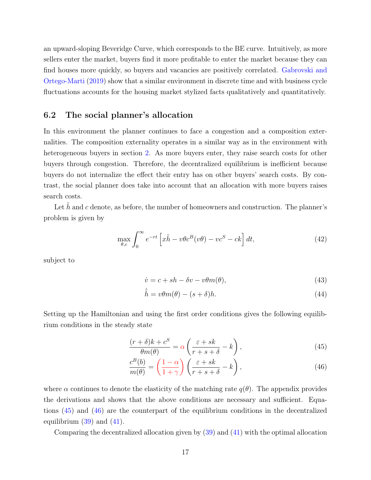an upward-sloping Beveridge Curve, which corresponds to the BE curve. Intuitively, as more sellers enter the market, buyers find it more profitable to enter the market because they can find houses more quickly, so buyers and vacancies are positively correlated. [Gabrovski and](#page-20-0) [Ortego-Marti](#page-20-0) [\(2019\)](#page-20-0) show that a similar environment in discrete time and with business cycle fluctuations accounts for the housing market stylized facts qualitatively and quantitatively.

#### 6.2 The social planner's allocation

In this environment the planner continues to face a congestion and a composition externalities. The composition externality operates in a similar way as in the environment with heterogeneous buyers in section [2.](#page-4-0) As more buyers enter, they raise search costs for other buyers through congestion. Therefore, the decentralized equilibrium is inefficient because buyers do not internalize the effect their entry has on other buyers' search costs. By contrast, the social planner does take into account that an allocation with more buyers raises search costs.

Let  $\tilde{h}$  and c denote, as before, the number of homeowners and construction. The planner's problem is given by

$$
\max_{\theta,c} \int_0^\infty e^{-rt} \left[ x\tilde{h} - v\theta c^B(v\theta) - v c^S - c k \right] dt,\tag{42}
$$

subject to

$$
\dot{v} = c + sh - \delta v - v\theta m(\theta),\tag{43}
$$

<span id="page-17-1"></span><span id="page-17-0"></span>
$$
\dot{\tilde{h}} = v\theta m(\theta) - (s+\delta)h. \tag{44}
$$

Setting up the Hamiltonian and using the first order conditions gives the following equilibrium conditions in the steady state

$$
\frac{(r+\delta)k + c^S}{\theta m(\theta)} = \alpha \left( \frac{\varepsilon + sk}{r + s + \delta} - k \right),\tag{45}
$$

$$
\frac{c^{B}(b)}{m(\theta)} = \left(\frac{1-\alpha}{1+\gamma}\right) \left(\frac{\varepsilon + sk}{r + s + \delta} - k\right),\tag{46}
$$

where  $\alpha$  continues to denote the elasticity of the matching rate  $q(\theta)$ . The appendix provides the derivations and shows that the above conditions are necessary and sufficient. Equations [\(45\)](#page-17-0) and [\(46\)](#page-17-1) are the counterpart of the equilibrium conditions in the decentralized equilibrium  $(39)$  and  $(41)$ .

Comparing the decentralized allocation given by [\(39\)](#page-16-0) and [\(41\)](#page-16-1) with the optimal allocation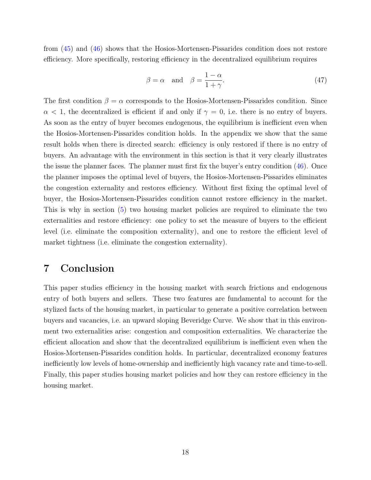from [\(45\)](#page-17-0) and [\(46\)](#page-17-1) shows that the Hosios-Mortensen-Pissarides condition does not restore efficiency. More specifically, restoring efficiency in the decentralized equilibrium requires

$$
\beta = \alpha \quad \text{and} \quad \beta = \frac{1 - \alpha}{1 + \gamma}.\tag{47}
$$

The first condition  $\beta = \alpha$  corresponds to the Hosios-Mortensen-Pissarides condition. Since  $\alpha$  < 1, the decentralized is efficient if and only if  $\gamma = 0$ , i.e. there is no entry of buyers. As soon as the entry of buyer becomes endogenous, the equilibrium is inefficient even when the Hosios-Mortensen-Pissarides condition holds. In the appendix we show that the same result holds when there is directed search: efficiency is only restored if there is no entry of buyers. An advantage with the environment in this section is that it very clearly illustrates the issue the planner faces. The planner must first fix the buyer's entry condition [\(46\)](#page-17-1). Once the planner imposes the optimal level of buyers, the Hosios-Mortensen-Pissarides eliminates the congestion externality and restores efficiency. Without first fixing the optimal level of buyer, the Hosios-Mortensen-Pissarides condition cannot restore efficiency in the market. This is why in section [\(5\)](#page-13-0) two housing market policies are required to eliminate the two externalities and restore efficiency: one policy to set the measure of buyers to the efficient level (i.e. eliminate the composition externality), and one to restore the efficient level of market tightness (i.e. eliminate the congestion externality).

# 7 Conclusion

This paper studies efficiency in the housing market with search frictions and endogenous entry of both buyers and sellers. These two features are fundamental to account for the stylized facts of the housing market, in particular to generate a positive correlation between buyers and vacancies, i.e. an upward sloping Beveridge Curve. We show that in this environment two externalities arise: congestion and composition externalities. We characterize the efficient allocation and show that the decentralized equilibrium is inefficient even when the Hosios-Mortensen-Pissarides condition holds. In particular, decentralized economy features inefficiently low levels of home-ownership and inefficiently high vacancy rate and time-to-sell. Finally, this paper studies housing market policies and how they can restore efficiency in the housing market.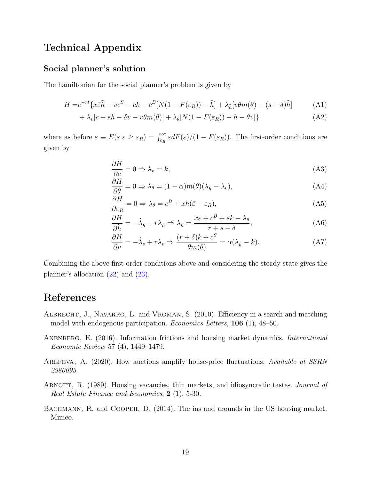# Technical Appendix

### Social planner's solution

The hamiltonian for the social planner's problem is given by

$$
H = e^{-rt} \{ x \bar{\varepsilon} \tilde{h} - v c^S - c k - c^B [N(1 - F(\varepsilon_R)) - \tilde{h}] + \lambda_{\tilde{h}} [v \theta m(\theta) - (s + \delta) \tilde{h}]
$$
 (A1)

$$
+\lambda_v[c + s\tilde{h} - \delta v - v\theta m(\theta)] + \lambda_\theta[N(1 - F(\varepsilon_R)) - \tilde{h} - \theta v]\}
$$
\n(A2)

where as before  $\bar{\varepsilon} \equiv E(\varepsilon|\varepsilon \geq \varepsilon_R) = \int_{\varepsilon_R}^{\infty} \varepsilon dF(\varepsilon)/(1 - F(\varepsilon_R))$ . The first-order conditions are given by

$$
\frac{\partial H}{\partial c} = 0 \Rightarrow \lambda_v = k,\tag{A3}
$$

$$
\frac{\partial H}{\partial \theta} = 0 \Rightarrow \lambda_{\theta} = (1 - \alpha)m(\theta)(\lambda_{\tilde{h}} - \lambda_v),\tag{A4}
$$

$$
\frac{\partial H}{\partial \varepsilon_R} = 0 \Rightarrow \lambda_\theta = c^B + xh(\bar{\varepsilon} - \varepsilon_R),\tag{A5}
$$

$$
\frac{\partial H}{\partial \tilde{h}} = -\dot{\lambda}_{\tilde{h}} + r\lambda_{\tilde{h}} \Rightarrow \lambda_{\tilde{h}} = \frac{x\bar{\varepsilon} + c^B + sk - \lambda_{\theta}}{r + s + \delta},\tag{A6}
$$

$$
\frac{\partial H}{\partial v} = -\dot{\lambda}_v + r\lambda_v \Rightarrow \frac{(r+\delta)k + c^S}{\theta m(\theta)} = \alpha(\lambda_{\tilde{h}} - k). \tag{A7}
$$

Combining the above first-order conditions above and considering the steady state gives the planner's allocation [\(22\)](#page-11-0) and [\(23\)](#page-11-1).

# References

- <span id="page-19-3"></span>ALBRECHT, J., NAVARRO, L. and VROMAN, S. (2010). Efficiency in a search and matching model with endogenous participation. Economics Letters, 106 (1), 48–50.
- <span id="page-19-1"></span>ANENBERG, E. (2016). Information frictions and housing market dynamics. *International* Economic Review 57 (4), 1449–1479.
- <span id="page-19-2"></span>AREFEVA, A. (2020). How auctions amplify house-price fluctuations. Available at SSRN 2980095.
- <span id="page-19-0"></span>ARNOTT, R. (1989). Housing vacancies, thin markets, and idiosyncratic tastes. *Journal of* Real Estate Finance and Economics, 2 (1), 5-30.
- <span id="page-19-4"></span>BACHMANN, R. and COOPER, D. (2014). The ins and arounds in the US housing market. Mimeo.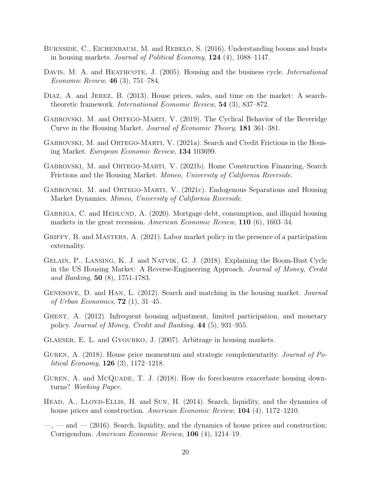- <span id="page-20-1"></span>BURNSIDE, C., EICHENBAUM, M. and REBELO, S. (2016). Understanding booms and busts in housing markets. Journal of Political Economy,  $124$  (4), 1088–1147.
- DAVIS, M. A. and HEATHCOTE, J. (2005). Housing and the business cycle. *International* Economic Review, 46 (3), 751–784.
- <span id="page-20-2"></span>DIAZ, A. and JEREZ, B. (2013). House prices, sales, and time on the market: A searchtheoretic framework. International Economic Review, 54 (3), 837–872.
- <span id="page-20-0"></span>GABROVSKI, M. and ORTEGO-MARTI, V. (2019). The Cyclical Behavior of the Beveridge Curve in the Housing Market. Journal of Economic Theory, 181 361–381.
- <span id="page-20-3"></span>GABROVSKI, M. and ORTEGO-MARTI, V. (2021a). Search and Credit Frictions in the Housing Market. European Economic Review, 134 103699.
- <span id="page-20-4"></span>Gabrovski, M. and Ortego-Marti, V. (2021b). Home Construction Financing, Search Frictions and the Housing Market. Mimeo, University of California Riverside.
- <span id="page-20-5"></span>GABROVSKI, M. and ORTEGO-MARTI, V. (2021c). Endogenous Separations and Housing Market Dynamics. Mimeo, University of California Riverside.
- <span id="page-20-6"></span>GARRIGA, C. and HEDLUND, A. (2020). Mortgage debt, consumption, and illiquid housing markets in the great recession. American Economic Review, 110 (6), 1603–34.
- <span id="page-20-12"></span>GRIFFY, B. and MASTERS, A. (2021). Labor market policy in the presence of a participation externality.
- Gelain, P., Lansing, K. J. and Natvik, G. J. (2018). Explaining the Boom-Bust Cycle in the US Housing Market: A Reverse-Engineering Approach. Journal of Money, Credit and Banking, 50 (8), 1751-1783.
- <span id="page-20-7"></span>GENESOVE, D. and HAN, L. (2012). Search and matching in the housing market. *Journal* of Urban Economics,  $72$  (1), 31–45.
- <span id="page-20-14"></span>Ghent, A. (2012). Infrequent housing adjustment, limited participation, and monetary policy. Journal of Money, Credit and Banking, 44 (5), 931–955.
- <span id="page-20-13"></span>Glaeser, E. L. and Gyourko, J. (2007). Arbitrage in housing markets.
- <span id="page-20-8"></span>GUREN, A. (2018). House price momentum and strategic complementarity. Journal of Political Economy, 126 (3), 1172–1218.
- <span id="page-20-9"></span>GUREN, A. and McQUADE, T. J. (2018). How do foreclosures exacerbate housing downturns? Working Paper.
- <span id="page-20-10"></span>HEAD, A., LLOYD-ELLIS, H. and SUN, H. (2014). Search, liquidity, and the dynamics of house prices and construction. American Economic Review, **104** (4), 1172–1210.
- <span id="page-20-11"></span> $\sim$ ,  $\sim$  and  $\sim$  (2016). Search, liquidity, and the dynamics of house prices and construction: Corrigendum. American Economic Review, 106 (4), 1214–19.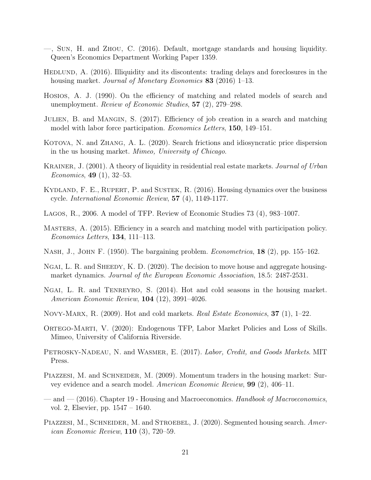- <span id="page-21-1"></span>—, Sun, H. and Zhou, C. (2016). Default, mortgage standards and housing liquidity. Queen's Economics Department Working Paper 1359.
- <span id="page-21-2"></span>HEDLUND, A. (2016). Illiquidity and its discontents: trading delays and foreclosures in the housing market. Journal of Monetary Economics 83 (2016) 1–13.
- <span id="page-21-0"></span>Hosios, A. J. (1990). On the efficiency of matching and related models of search and unemployment. Review of Economic Studies, 57 (2), 279–298.
- <span id="page-21-10"></span>Julien, B. and Mangin, S. (2017). Efficiency of job creation in a search and matching model with labor force participation. Economics Letters, 150, 149–151.
- <span id="page-21-3"></span>KOTOVA, N. and ZHANG, A. L. (2020). Search frictions and idiosyncratic price dispersion in the us housing market. Mimeo, University of Chicago.
- <span id="page-21-4"></span>KRAINER, J. (2001). A theory of liquidity in residential real estate markets. Journal of Urban Economics, 49 (1), 32–53.
- KYDLAND, F. E., RUPERT, P. and SUSTEK, R. (2016). Housing dynamics over the business cycle. International Economic Review, 57 (4), 1149-1177.
- <span id="page-21-13"></span>Lagos, R., 2006. A model of TFP. Review of Economic Studies 73 (4), 983–1007.
- <span id="page-21-11"></span>Masters, A. (2015). Efficiency in a search and matching model with participation policy. Economics Letters, 134, 111–113.
- <span id="page-21-12"></span>NASH, J., JOHN F. (1950). The bargaining problem. *Econometrica*, **18** (2), pp. 155–162.
- <span id="page-21-6"></span>NGAI, L. R. and SHEEDY, K. D. (2020). The decision to move house and aggregate housingmarket dynamics. Journal of the European Economic Association, 18.5: 2487-2531.
- <span id="page-21-5"></span>Ngai, L. R. and Tenreyro, S. (2014). Hot and cold seasons in the housing market. American Economic Review, 104 (12), 3991–4026.
- <span id="page-21-7"></span>NOVY-MARX, R. (2009). Hot and cold markets. *Real Estate Economics*, **37** (1), 1–22.
- <span id="page-21-14"></span>ORTEGO-MARTI, V. (2020): Endogenous TFP, Labor Market Policies and Loss of Skills. Mimeo, University of California Riverside.
- PETROSKY-NADEAU, N. and WASMER, E. (2017). Labor, Credit, and Goods Markets. MIT Press.
- <span id="page-21-8"></span>PIAZZESI, M. and SCHNEIDER, M. (2009). Momentum traders in the housing market: Survey evidence and a search model. American Economic Review, 99 (2), 406–11.
- and (2016). Chapter 19 Housing and Macroeconomics. Handbook of Macroeconomics, vol. 2, Elsevier, pp. 1547 – 1640.
- <span id="page-21-9"></span>PIAZZESI, M., SCHNEIDER, M. and STROEBEL, J. (2020). Segmented housing search. American Economic Review, 110 (3), 720–59.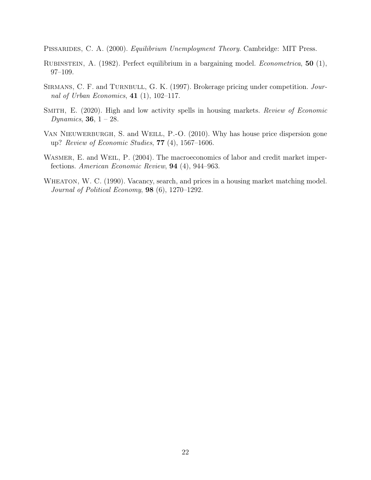<span id="page-22-0"></span>PISSARIDES, C. A. (2000). *Equilibrium Unemployment Theory*. Cambridge: MIT Press.

- <span id="page-22-3"></span>Rubinstein, A. (1982). Perfect equilibrium in a bargaining model. Econometrica, 50 (1), 97–109.
- <span id="page-22-5"></span>SIRMANS, C. F. and TURNBULL, G. K. (1997). Brokerage pricing under competition. Journal of Urban Economics,  $41$  (1), 102-117.
- <span id="page-22-2"></span>SMITH, E. (2020). High and low activity spells in housing markets. Review of Economic *Dynamics*, **36**,  $1 - 28$ .
- <span id="page-22-4"></span>VAN NIEUWERBURGH, S. and WEILL, P.-O. (2010). Why has house price dispersion gone up? Review of Economic Studies, 77 (4), 1567–1606.
- WASMER, E. and WEIL, P. (2004). The macroeconomics of labor and credit market imperfections. American Economic Review, 94 (4), 944–963.
- <span id="page-22-1"></span>WHEATON, W. C. (1990). Vacancy, search, and prices in a housing market matching model. Journal of Political Economy, 98 (6), 1270–1292.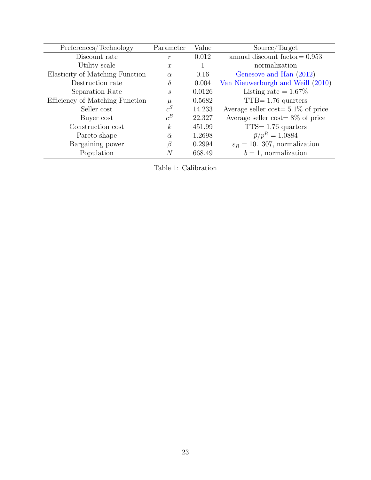<span id="page-23-0"></span>

| Preferences/Technology          | Parameter         | Value  | Source/Target                             |
|---------------------------------|-------------------|--------|-------------------------------------------|
| Discount rate                   | $\mathcal{r}$     | 0.012  | annual discount factor $= 0.953$          |
| Utility scale                   | $\mathcal{X}$     |        | normalization                             |
| Elasticity of Matching Function | $\alpha$          | 0.16   | Genesove and Han (2012)                   |
| Destruction rate                | $\delta$          | 0.004  | Van Nieuwerburgh and Weill (2010)         |
| Separation Rate                 | $\mathcal{S}_{0}$ | 0.0126 | Listing rate $= 1.67\%$                   |
| Efficiency of Matching Function | $\mu$             | 0.5682 | $TTB = 1.76$ quarters                     |
| Seller cost                     | $c^S$             | 14.233 | Average seller cost = $5.1\%$ of price    |
| Buyer cost                      | $c^B$             | 22.327 | Average seller cost= $8\%$ of price       |
| Construction cost               | $\boldsymbol{k}$  | 451.99 | $TTS = 1.76$ quarters                     |
| Pareto shape                    | $\tilde{\alpha}$  | 1.2698 | $\bar{p}/p^R = 1.0884$                    |
| Bargaining power                | B                 | 0.2994 | $\varepsilon_R = 10.1307$ , normalization |
| Population                      | N                 | 668.49 | $b=1$ , normalization                     |

Table 1: Calibration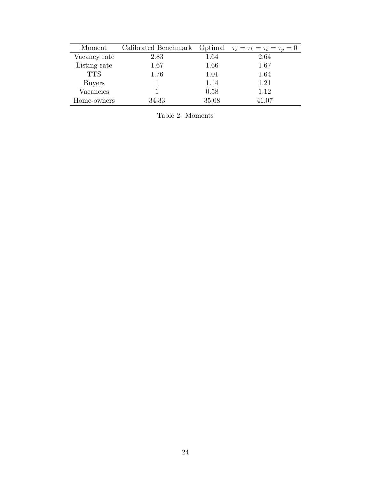<span id="page-24-0"></span>

| Moment       | Calibrated Benchmark Optimal $\tau_s = \tau_k = \tau_b = \tau_p = 0$ |       |       |
|--------------|----------------------------------------------------------------------|-------|-------|
| Vacancy rate | 2.83                                                                 | 1.64  | 2.64  |
| Listing rate | 1.67                                                                 | 1.66  | 1.67  |
| <b>TTS</b>   | 1.76                                                                 | 1.01  | 1.64  |
| Buyers       |                                                                      | 1.14  | 1.21  |
| Vacancies    |                                                                      | 0.58  | 1.12  |
| Home-owners  | 34.33                                                                | 35.08 | 41.07 |

Table 2: Moments